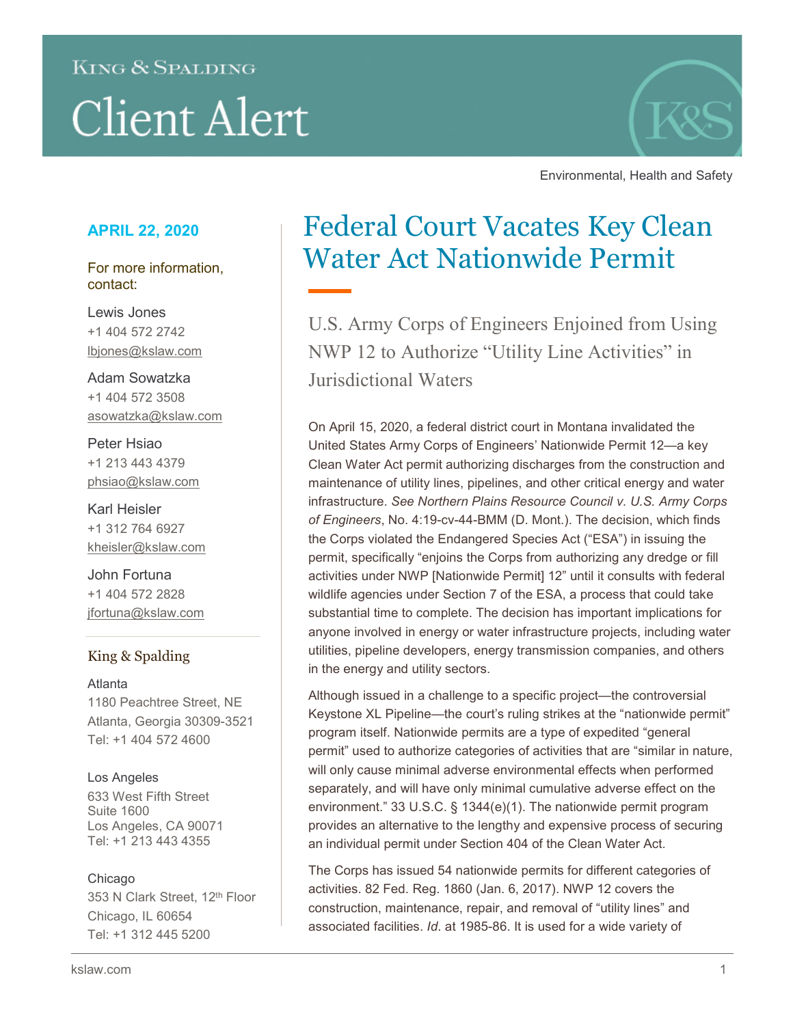# **KING & SPALDING Client Alert**



Environmental, Health and Safety

## **APRIL 22, 2020**

For more information, contact:

Lewis Jones +1 404 572 2742 lbjones@kslaw.com

Adam Sowatzka +1 404 572 3508 [asowatzka@kslaw.com](mailto:asowatzka@kslaw.com)

Peter Hsiao +1 213 443 4379 [phsiao@kslaw.com](mailto:phsiao@kslaw.com)

Karl Heisler +1 312 764 6927 [kheisler@kslaw.com](mailto:kheisler@kslaw.com)

John Fortuna +1 404 572 2828 jfortuna@kslaw.com

### King & Spalding

Atlanta 1180 Peachtree Street, NE Atlanta, Georgia 30309-3521 Tel: +1 404 572 4600

#### Los Angeles

633 West Fifth Street Suite 1600 Los Angeles, CA 90071 Tel: +1 213 443 4355

#### Chicago

353 N Clark Street, 12<sup>th</sup> Floor Chicago, IL 60654 Tel: +1 312 445 5200

# Federal Court Vacates Key Clean Water Act Nationwide Permit

U.S. Army Corps of Engineers Enjoined from Using NWP 12 to Authorize "Utility Line Activities" in Jurisdictional Waters

On April 15, 2020, a federal district court in Montana invalidated the United States Army Corps of Engineers' Nationwide Permit 12—a key Clean Water Act permit authorizing discharges from the construction and maintenance of utility lines, pipelines, and other critical energy and water infrastructure. *See Northern Plains Resource Council v. U.S. Army Corps of Engineers*, No. 4:19-cv-44-BMM (D. Mont.). The decision, which finds the Corps violated the Endangered Species Act ("ESA") in issuing the permit, specifically "enjoins the Corps from authorizing any dredge or fill activities under NWP [Nationwide Permit] 12" until it consults with federal wildlife agencies under Section 7 of the ESA, a process that could take substantial time to complete. The decision has important implications for anyone involved in energy or water infrastructure projects, including water utilities, pipeline developers, energy transmission companies, and others in the energy and utility sectors.

Although issued in a challenge to a specific project—the controversial Keystone XL Pipeline—the court's ruling strikes at the "nationwide permit" program itself. Nationwide permits are a type of expedited "general permit" used to authorize categories of activities that are "similar in nature, will only cause minimal adverse environmental effects when performed separately, and will have only minimal cumulative adverse effect on the environment." 33 U.S.C. § 1344(e)(1). The nationwide permit program provides an alternative to the lengthy and expensive process of securing an individual permit under Section 404 of the Clean Water Act.

The Corps has issued 54 nationwide permits for different categories of activities. 82 Fed. Reg. 1860 (Jan. 6, 2017). NWP 12 covers the construction, maintenance, repair, and removal of "utility lines" and associated facilities. *Id*. at 1985-86. It is used for a wide variety of